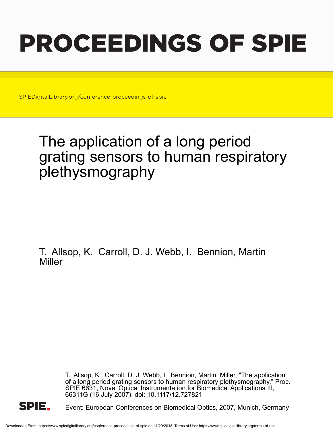# PROCEEDINGS OF SPIE

SPIEDigitalLibrary.org/conference-proceedings-of-spie

## The application of a long period grating sensors to human respiratory plethysmography

T. Allsop, K. Carroll, D. J. Webb, I. Bennion, Martin Miller

> T. Allsop, K. Carroll, D. J. Webb, I. Bennion, Martin Miller, "The application of a long period grating sensors to human respiratory plethysmography," Proc. SPIE 6631, Novel Optical Instrumentation for Biomedical Applications III, 66311G (16 July 2007); doi: 10.1117/12.727821



Event: European Conferences on Biomedical Optics, 2007, Munich, Germany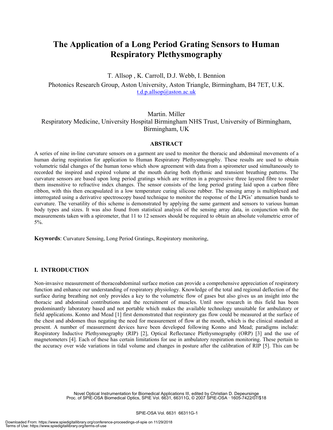### **The Application of a Long Period Grating Sensors to Human Respiratory Plethysmography**

T. Allsop , K. Carroll, D.J. Webb, I. Bennion

Photonics Research Group, Aston University, Aston Triangle, Birmingham, B4 7ET, U.K. t.d.p.allsop@aston.ac.uk

#### Martin. Miller Respiratory Medicine, University Hospital Birmingham NHS Trust, University of Birmingham, Birmingham, UK

#### **ABSTRACT**

A series of nine in-line curvature sensors on a garment are used to monitor the thoracic and abdominal movements of a human during respiration for application to Human Respiratory Plethysmography. These results are used to obtain volumetric tidal changes of the human torso which show agreement with data from a spirometer used simultaneously to recorded the inspired and expired volume at the mouth during both rhythmic and transient breathing patterns. The curvature sensors are based upon long period gratings which are written in a progressive three layered fibre to render them insensitive to refractive index changes. The sensor consists of the long period grating laid upon a carbon fibre ribbon, with this then encapsulated in a low temperature curing silicone rubber. The sensing array is multiplexed and interrogated using a derivative spectroscopy based technique to monitor the response of the LPGs' attenuation bands to curvature. The versatility of this scheme is demonstrated by applying the same garment and sensors to various human body types and sizes. It was also found from statistical analysis of the sensing array data, in conjunction with the measurements taken with a spirometer, that 11 to 12 sensors should be required to obtain an absolute volumetric error of 5%.

**Keywords**: Curvature Sensing, Long Period Gratings, Respiratory monitoring,

#### **I. INTRODUCTION**

Non-invasive measurement of thoracoabdominal surface motion can provide a comprehensive appreciation of respiratory function and enhance our understanding of respiratory physiology. Knowledge of the total and regional deflection of the surface during breathing not only provides a key to the volumetric flow of gases but also gives us an insight into the thoracic and abdominal contributions and the recruitment of muscles. Until now research in this field has been predominantly laboratory based and not portable which makes the available technology unsuitable for ambulatory or field applications. Konno and Mead [1] first demonstrated that respiratory gas flow could be measured at the surface of the chest and abdomen thus negating the need for measurement of flow at the mouth, which is the clinical standard at present. A number of measurement devices have been developed following Konno and Mead; paradigms include: Respiratory Inductive Plethysmography (RIP) [2], Optical Reflectance Plethysmography (ORP) [3] and the use of magnetometers [4]. Each of these has certain limitations for use in ambulatory respiration monitoring. These pertain to the accuracy over wide variations in tidal volume and changes in posture after the calibration of RIP [5]. This can be

> Novel Optical Instrumentation for Biomedical Applications III, edited by Christian D. Depeursinge Proc. of SPIE-OSA Biomedical Optics, SPIE Vol. 6631, 66311G, © 2007 SPIE-OSA · 1605-7422/07/\$18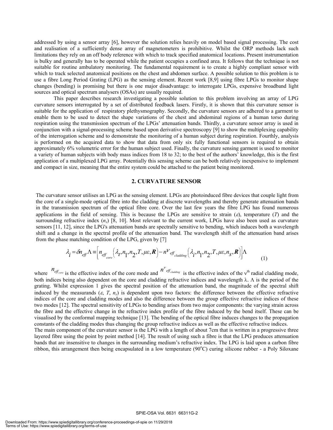addressed by using a sensor array [6], however the solution relies heavily on model based signal processing. The cost and realisation of a sufficiently dense array of magnetometers is prohibitive. Whilst the ORP methods lack such limitations they rely on an off body reference with which to track specified anatomical locations. Present instrumentation is bulky and generally has to be operated while the patient occupies a confined area. It follows that the technique is not suitable for routine ambulatory monitoring. The fundamental requirement is to create a highly compliant sensor with which to track selected anatomical positions on the chest and abdomen surface. A possible solution to this problem is to use a fibre Long Period Grating (LPG) as the sensing element. Recent work [8,9] using fibre LPGs to monitor shape changes (bending) is promising but there is one major disadvantage: to interrogate LPGs, expensive broadband light sources and optical spectrum analysers (OSAs) are usually required.

 This paper describes research investigating a possible solution to this problem involving an array of LPG curvature sensors interrogated by a set of distributed feedback lasers. Firstly, it is shown that this curvature sensor is suitable for the application of respiratory plethysmography. Secondly, the curvature sensors are adhered to a garment to enable them to be used to detect the shape variations of the chest and abdominal regions of a human torso during respiration using the transmission spectrum of the LPGs' attenuation bands. Thirdly, a curvature sensor array is used in conjunction with a signal-processing scheme based upon derivative spectroscopy [9] to show the multiplexing capability of the interrogation scheme and to demonstrate the monitoring of a human subject during respiration. Fourthly, analysis is performed on the acquired data to show that data from only six fully functional sensors is required to obtain approximately 6% volumetric error for the human subject used. Finally, the curvature sensing garment is used to monitor a variety of human subjects with body mass indices from 18 to 32; to the best of the authors' knowledge, this is the first application of a multiplexed LPG array. Potentially this sensing scheme can be both relatively inexpensive to implement and compact in size, meaning that the entire system could be attached to the patient being monitored.

#### **2. CURVATURE SENSOR**

The curvature sensor utilises an LPG as the sensing element. LPGs are photoinduced fibre devices that couple light from the core of a single-mode optical fibre into the cladding at discrete wavelengths and thereby generate attenuation bands in the transmission spectrum of the optical fibre core. Over the last few years the fibre LPG has found numerous applications in the field of sensing. This is because the LPGs are sensitive to strain  $(\varepsilon)$ , temperature  $(T)$  and the surrounding refractive index  $(n<sub>s</sub>)$  [8, 10]. Most relevant to the current work, LPGs have also been used as curvature sensors [11, 12], since the LPG's attenuation bands are spectrally sensitive to bending, which induces both a wavelength shift and a change in the spectral profile of the attenuation band. The wavelength shift of the attenuation band arises from the phase matching condition of the LPG, given by [7]

$$
\lambda_{\vec{i}} = \delta n_{\text{eff}} \Lambda \equiv \left[ n_{\text{eff}} \left( \lambda_{\vec{i}}, n_1, n_2, T, \mu \varepsilon, \mathbf{R} \right) - n_{\text{eff}} \left( \lambda_{\vec{i}}, n_1, n_2, T, \mu \varepsilon, n_s, \mathbf{R} \right) \right] \Lambda \tag{1}
$$

where  $n_{\text{eff}_{\text{core}}}$  is the effective index of the core mode and  $n^{\text{V}}_{\text{eff}_{\text{cladding}}}$  is the effective index of the v<sup>th</sup> radial cladding mode, both indices being also dependent on the core and cladding refractive indices and wavelength λ. Λ is the period of the grating. Whilst expression 1 gives the spectral position of the attenuation band, the magnitude of the spectral shift induced by the measurands ( $\varepsilon$ ,  $T$ ,  $n<sub>s</sub>$ ) is dependent upon two factors: the difference between the effective refractive indices of the core and cladding modes and also the difference between the group effective refractive indices of these two modes [12]. The spectral sensitivity of LPGs to bending arises from two major components: the varying strain across the fibre and the effective change in the refractive index profile of the fibre induced by the bend itself. These can be visualised by the conformal mapping technique [13]. The bending of the optical fibre induces changes to the propagation constants of the cladding modes thus changing the group refractive indices as well as the effective refractive indices. The main component of the curvature sensor is the LPG with a length of about 7cm that is written in a progressive three

layered fibre using the point by point method [14]. The result of using such a fibre is that the LPG produces attenuation bands that are insensitive to changes in the surrounding medium's refractive index. The LPG is laid upon a carbon fibre ribbon, this arrangement then being encapsulated in a low temperature (90°C) curing silicone rubber - a Poly Siloxane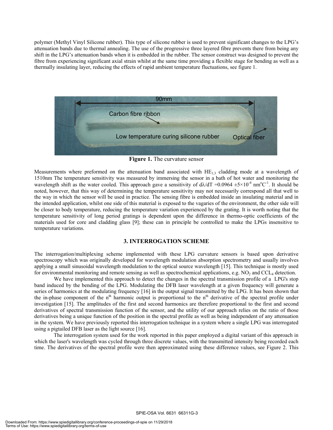polymer (Methyl Vinyl Silicone rubber). This type of silicone rubber is used to prevent significant changes to the LPG's attenuation bands due to thermal annealing. The use of the progressive three layered fibre prevents there from being any shift in the LPG's attenuation bands when it is embedded in the rubber. The sensor construct was designed to prevent the fibre from experiencing significant axial strain whilst at the same time providing a flexible stage for bending as well as a thermally insulating layer, reducing the effects of rapid ambient temperature fluctuations, see figure 1.



**Figure 1.** The curvature sensor

Measurements where preformed on the attenuation band associated with HE<sub>1,3</sub> cladding mode at a wavelength of 1510nm The temperature sensitivity was measured by immersing the sensor in a bath of hot water and monitoring the wavelength shift as the water cooled. This approach gave a sensitivity of  $d\lambda/dT = 0.0964 \pm 5 \times 10^{-4}$  nm<sup>o</sup>C<sup>-1</sup>. It should be noted, however, that this way of determining the temperature sensitivity may not necessarily correspond all that well to the way in which the sensor will be used in practice. The sensing fibre is embedded inside an insulating material and in the intended application, whilst one side of this material is exposed to the vagaries of the environment, the other side will be closer to body temperature, reducing the temperature variation experienced by the grating. It is worth noting that the temperature sensitivity of long period gratings is dependent upon the difference in thermo-optic coefficients of the materials used for core and cladding glass [9]; these can in principle be controlled to make the LPGs insensitive to temperature variations.

#### **3. INTERROGATION SCHEME**

The interrogation/multiplexing scheme implemented with these LPG curvature sensors is based upon derivative spectroscopy which was originally developed for wavelength modulation absorption spectrometry and usually involves applying a small sinusoidal wavelength modulation to the optical source wavelength [15]. This technique is mostly used for environmental monitoring and remote sensing as well as spectrochemical applications, e.g.  $NO<sub>2</sub>$  and CCL<sub>4</sub> detection.

We have implemented this approach to detect the changes in the spectral transmission profile of a LPG's stop band induced by the bending of the LPG. Modulating the DFB laser wavelength at a given frequency will generate a series of harmonics at the modulating frequency [16] in the output signal transmitted by the LPG. It has been shown that the in-phase component of the  $n<sup>th</sup>$  harmonic output is proportional to the  $n<sup>th</sup>$  derivative of the spectral profile under investigation [15]. The amplitudes of the first and second harmonics are therefore proportional to the first and second derivatives of spectral transmission function of the sensor, and the utility of our approach relies on the ratio of those derivatives being a unique function of the position in the spectral profile as well as being independent of any attenuation in the system. We have previously reported this interrogation technique in a system where a single LPG was interrogated using a pigtailed DFB laser as the light source [16].

The interrogation system used for the work reported in this paper employed a digital variant of this approach in which the laser's wavelength was cycled through three discrete values, with the transmitted intensity being recorded each time. The derivatives of the spectral profile were then approximated using these difference values, see Figure 2. This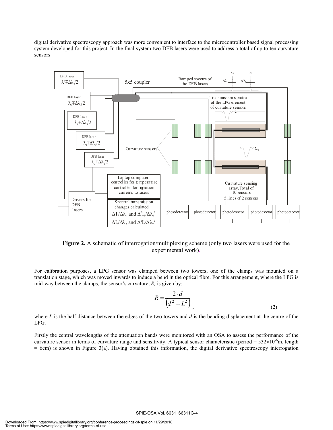digital derivative spectroscopy approach was more convenient to interface to the microcontroller based signal processing system developed for this project. In the final system two DFB lasers were used to address a total of up to ten curvature sensors



**Figure 2.** A schematic of interrogation/multiplexing scheme (only two lasers were used for the experimental work).

For calibration purposes, a LPG sensor was clamped between two towers; one of the clamps was mounted on a translation stage, which was moved inwards to induce a bend in the optical fibre. For this arrangement, where the LPG is mid-way between the clamps, the sensor's curvature, *R,* is given by:

$$
R = \frac{2 \cdot d}{\left(d^2 + L^2\right)}\tag{2}
$$

where *L* is the half distance between the edges of the two towers and *d* is the bending displacement at the centre of the LPG.

Firstly the central wavelengths of the attenuation bands were monitored with an OSA to assess the performance of the curvature sensor in terms of curvature range and sensitivity. A typical sensor characteristic (period =  $532\times10^{-6}$ m, length  $= 6$ cm) is shown in Figure 3(a). Having obtained this information, the digital derivative spectroscopy interrogation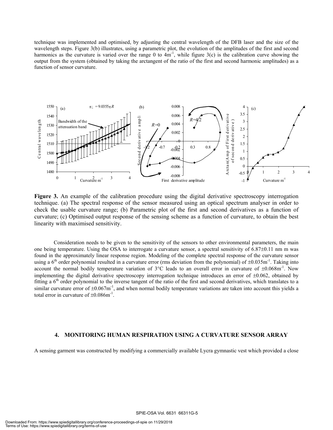technique was implemented and optimised, by adjusting the central wavelength of the DFB laser and the size of the wavelength steps. Figure 3(b) illustrates, using a parametric plot, the evolution of the amplitudes of the first and second harmonics as the curvature is varied over the range 0 to  $4m^{-1}$ , while figure  $3(c)$  is the calibration curve showing the output from the system (obtained by taking the arctangent of the ratio of the first and second harmonic amplitudes) as a function of sensor curvature.



**Figure 3.** An example of the calibration procedure using the digital derivative spectroscopy interrogation technique. (a) The spectral response of the sensor measured using an optical spectrum analyser in order to check the usable curvature range; (b) Parametric plot of the first and second derivatives as a function of curvature; (c) Optimised output response of the sensing scheme as a function of curvature, to obtain the best linearity with maximised sensitivity.

Consideration needs to be given to the sensitivity of the sensors to other environmental parameters, the main one being temperature. Using the OSA to interrogate a curvature sensor, a spectral sensitivity of  $6.87\pm0.11$  nm m was found in the approximately linear response region. Modeling of the complete spectral response of the curvature sensor using a  $6<sup>th</sup>$  order polynomial resulted in a curvature error (rms deviation from the polynomial) of  $\pm 0.035$ m<sup>-1</sup>. Taking into account the normal bodily temperature variation of  $3^{\circ}$ C leads to an overall error in curvature of  $\pm 0.068$ m<sup>-1</sup>. Now implementing the digital derivative spectroscopy interrogation technique introduces an error of  $\pm 0.062$ , obtained by fitting a  $6<sup>th</sup>$  order polynomial to the inverse tangent of the ratio of the first and second derivatives, which translates to a similar curvature error of  $\pm 0.067$ m<sup>-1</sup>, and when normal bodily temperature variations are taken into account this yields a total error in curvature of  $\pm 0.086$ m<sup>-1</sup>.

#### **4. MONITORING HUMAN RESPIRATION USING A CURVATURE SENSOR ARRAY**

A sensing garment was constructed by modifying a commercially available Lycra gymnastic vest which provided a close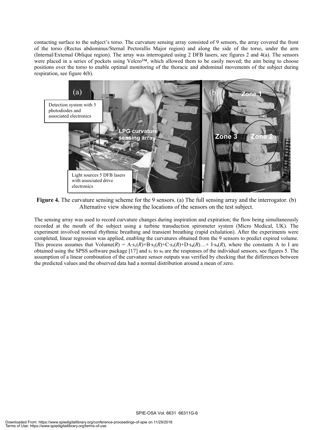contacting surface to the subject's torso. The curvature sensing array consisted of 9 sensors, the array covered the front of the torso (Rectus abdominus/Sternal Pectorallis Major region) and along the side of the torso, under the arm (Internal/External Oblique region). The array was interrogated using 2 DFB lasers, see figures 2 and 4(a). The sensors were placed in a series of pockets using Velcro™, which allowed them to be easily moved; the aim being to choose positions over the torso to enable optimal monitoring of the thoracic and abdominal movements of the subject during respiration, see figure 4(b).



**Figure 4.** The curvature sensing scheme for the 9 sensors. (a) The full sensing array and the interrogator. (b) Alternative view showing the locations of the sensors on the test subject.

The sensing array was used to record curvature changes during inspiration and expiration; the flow being simultaneously recorded at the mouth of the subject using a turbine transduction spirometer system (Micro Medical, UK). The experiment involved normal rhythmic breathing and transient breathing (rapid exhalation). After the experiments were completed, linear regression was applied, enabling the curvatures obtained from the 9 sensors to predict expired volume. This process assumes that Volume(*R*) =  $A \cdot s_1(R) + B \cdot s_2(R) + C \cdot s_3(R) + D \cdot s_4(R) \dots + I \cdot s_9(R)$ , where the constants A to I are obtained using the SPSS software package  $[17]$  and  $s<sub>1</sub>$  to  $s<sub>9</sub>$  are the responses of the individual sensors, see figures 5. The assumption of a linear combination of the curvature sensor outputs was verified by checking that the differences between the predicted values and the observed data had a normal distribution around a mean of zero.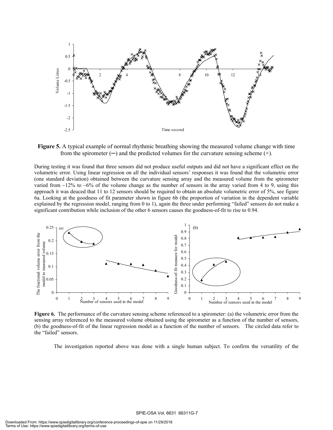

**Figure 5.** A typical example of normal rhythmic breathing showing the measured volume change with time from the spirometer ( $\rightarrow$ ) and the predicted volumes for the curvature sensing scheme ( $\times$ ).

During testing it was found that three sensors did not produce useful outputs and did not have a significant effect on the volumetric error. Using linear regression on all the individual sensors' responses it was found that the volumetric error (one standard deviation) obtained between the curvature sensing array and the measured volume from the spirometer varied from  $\sim$ 12% to  $\sim$ 6% of the volume change as the number of sensors in the array varied from 4 to 9, using this approach it was deuced that 11 to 12 sensors should be required to obtain an absolute volumetric error of 5%, see figure 6a. Looking at the goodness of fit parameter shown in figure 6b (the proportion of variation in the dependent variable explained by the regression model, ranging from 0 to 1), again the three under performing "failed" sensors do not make a significant contribution while inclusion of the other 6 sensors causes the goodness-of-fit to rise to 0.94.



**Figure 6.** The performance of the curvature sensing scheme referenced to a spirometer: (a) the volumetric error from the sensing array referenced to the measured volume obtained using the spirometer as a function of the number of sensors, (b) the goodness-of-fit of the linear regression model as a function of the number of sensors. The circled data refer to the "failed" sensors.

The investigation reported above was done with a single human subject. To confirm the versatility of the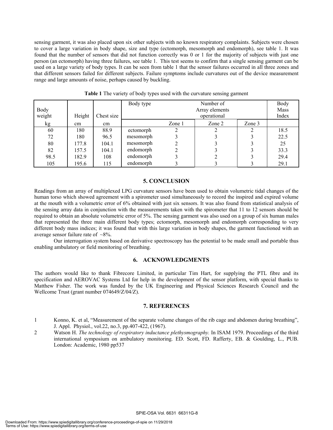sensing garment, it was also placed upon six other subjects with no known respiratory complaints. Subjects were chosen to cover a large variation in body shape, size and type (ectomorph, mesomorph and endomorph), see table 1. It was found that the number of sensors that did not function correctly was 0 or 1 for the majority of subjects with just one person (an ectomorph) having three failures, see table 1. This test seems to confirm that a single sensing garment can be used on a large variety of body types. It can be seen from table 1 that the sensor failures occurred in all three zones and that different sensors failed for different subjects. Failure symptoms include curvatures out of the device measurement range and large amounts of noise, perhaps caused by buckling.

|        |        |            | Body type   |                | Number of |        | Body  |
|--------|--------|------------|-------------|----------------|-----------|--------|-------|
| Body   |        |            |             | Array elements |           |        | Mass  |
| weight | Height | Chest size | operational |                |           |        | Index |
| kg     | cm     | cm         |             | Zone 1         | Zone 2    | Zone 3 |       |
| 60     | 180    | 88.9       | ectomorph   |                |           |        | 18.5  |
| 72     | 180    | 96.5       | mesomorph   |                |           |        | 22.5  |
| 80     | 177.8  | 104.1      | mesomorph   |                |           |        | 25    |
| 82     | 157.5  | 104.1      | endomorph   |                |           |        | 33.3  |
| 98.5   | 182.9  | 108        | endomorph   |                |           |        | 29.4  |
| 105    | 195.6  | 115        | endomorph   |                |           |        | 29.1  |

**Table 1** The variety of body types used with the curvature sensing garment

#### **5. CONCLUSION**

Readings from an array of multiplexed LPG curvature sensors have been used to obtain volumetric tidal changes of the human torso which showed agreement with a spirometer used simultaneously to record the inspired and expired volume at the mouth with a volumetric error of 6% obtained with just six sensors. It was also found from statistical analysis of the sensing array data in conjunction with the measurements taken with the spirometer that 11 to 12 sensors should be required to obtain an absolute volumetric error of 5%. The sensing garment was also used on a group of six human males that represented the three main different body types; ectomorph, mesomorph and endomorph corresponding to very different body mass indices; it was found that with this large variation in body shapes, the garment functioned with an average sensor failure rate of  $\sim 8\%$ .

Our interrogation system based on derivative spectroscopy has the potential to be made small and portable thus enabling ambulatory or field monitoring of breathing.

#### **6. ACKNOWLEDGMENTS**

The authors would like to thank Fibrecore Limited, in particular Tim Hart, for supplying the PTL fibre and its specification and AEROVAC Systems Ltd for help in the development of the sensor platform, with special thanks to Matthew Fisher. The work was funded by the UK Engineering and Physical Sciences Research Council and the Wellcome Trust (grant number 074649/Z/04/Z).

#### **7. REFERENCES**

- 1 Konno, K. et al, "Measurement of the separate volume changes of the rib cage and abdomen during breathing", J. Appl. Physiol., vol.22, no.3, pp.407-422, (1967).
- 2 Watson H. *The technology of respiratory inductance plethysmography.* In ISAM 1979. Proceedings of the third international symposium on ambulatory monitoring. ED. Scott, FD. Rafferty, EB. & Goulding, L., PUB. London: Academic, 1980 pp537